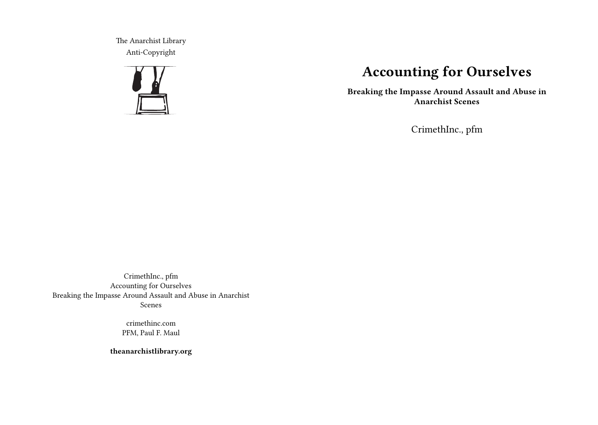The Anarchist Library Anti-Copyright



# **Accounting for Ourselves**

**Breaking the Impasse Around Assault and Abuse in Anarchist Scenes**

CrimethInc., pfm

CrimethInc., pfm Accounting for Ourselves Breaking the Impasse Around Assault and Abuse in Anarchist Scenes

> crimethinc.com PFM, Paul F. Maul

**theanarchistlibrary.org**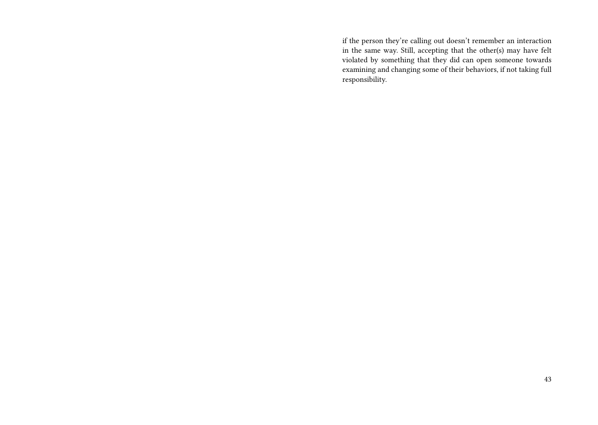if the person they're calling out doesn't remember an interaction in the same way. Still, accepting that the other(s) may have felt violated by something that they did can open someone towards examining and changing some of their behaviors, if not taking full responsibility.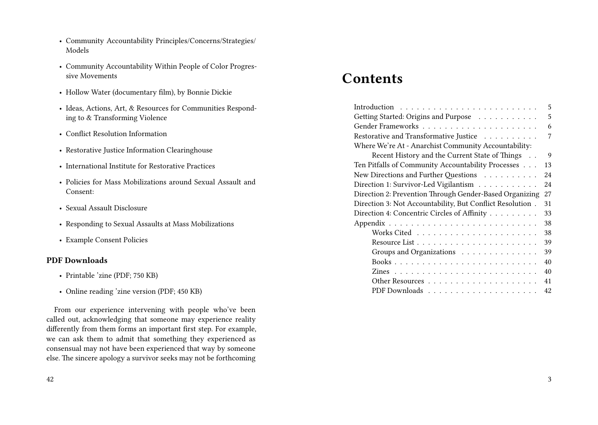- Community Accountability Principles/Concerns/Strategies/ Models
- Community Accountability Within People of Color Progressive Movements
- Hollow Water (documentary film), by Bonnie Dickie
- Ideas, Actions, Art, & Resources for Communities Responding to & Transforming Violence
- Conflict Resolution Information
- Restorative Justice Information Clearinghouse
- International Institute for Restorative Practices
- Policies for Mass Mobilizations around Sexual Assault and Consent:
- Sexual Assault Disclosure
- Responding to Sexual Assaults at Mass Mobilizations
- Example Consent Policies

#### **PDF Downloads**

- Printable 'zine (PDF; 750 KB)
- Online reading 'zine version (PDF; 450 KB)

From our experience intervening with people who've been called out, acknowledging that someone may experience reality differently from them forms an important first step. For example, we can ask them to admit that something they experienced as consensual may not have been experienced that way by someone else. The sincere apology a survivor seeks may not be forthcoming

# **Contents**

| 5                                                               |
|-----------------------------------------------------------------|
| Getting Started: Origins and Purpose<br>5                       |
| 6                                                               |
| Restorative and Transformative Justice<br>7                     |
| Where We're At - Anarchist Community Accountability:            |
| Recent History and the Current State of Things<br>9<br>$\ldots$ |
| Ten Pitfalls of Community Accountability Processes<br>13        |
| New Directions and Further Questions<br>24                      |
| Direction 1: Survivor-Led Vigilantism<br>24                     |
| Direction 2: Prevention Through Gender-Based Organizing<br>27   |
| Direction 3: Not Accountability, But Conflict Resolution.<br>31 |
| Direction 4: Concentric Circles of Affinity<br>33               |
| 38                                                              |
| 38                                                              |
| 39                                                              |
| Groups and Organizations<br>39                                  |
| 40                                                              |
| 40                                                              |
| 41                                                              |
| 42                                                              |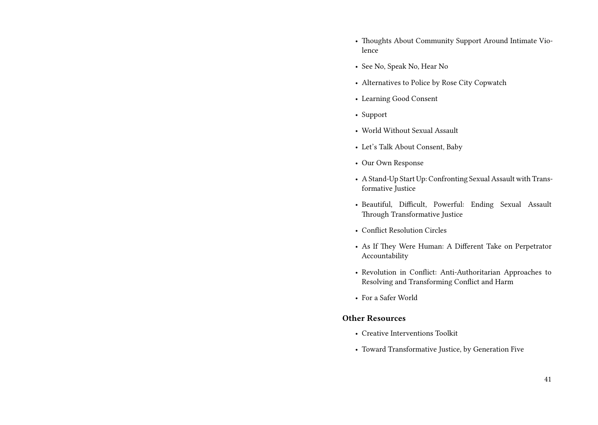- Thoughts About Community Support Around Intimate Violence
- See No, Speak No, Hear No
- Alternatives to Police by Rose City Copwatch
- Learning Good Consent
- Support
- World Without Sexual Assault
- Let's Talk About Consent, Baby
- Our Own Response
- A Stand-Up Start Up: Confronting Sexual Assault with Transformative Justice
- Beautiful, Difficult, Powerful: Ending Sexual Assault Through Transformative Justice
- Conflict Resolution Circles
- As If They Were Human: A Different Take on Perpetrator Accountability
- Revolution in Conflict: Anti-Authoritarian Approaches to Resolving and Transforming Conflict and Harm
- For a Safer World

#### **Other Resources**

- Creative Interventions Toolkit
- Toward Transformative Justice, by Generation Five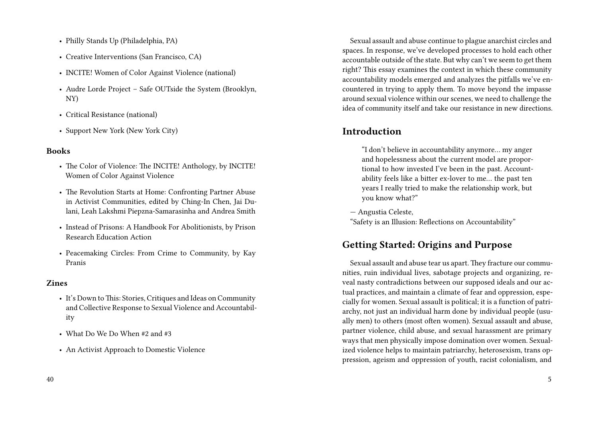- Philly Stands Up (Philadelphia, PA)
- Creative Interventions (San Francisco, CA)
- INCITE! Women of Color Against Violence (national)
- Audre Lorde Project Safe OUTside the System (Brooklyn, NY)
- Critical Resistance (national)
- Support New York (New York City)

#### **Books**

- The Color of Violence: The INCITE! Anthology, by INCITE! Women of Color Against Violence
- The Revolution Starts at Home: Confronting Partner Abuse in Activist Communities, edited by Ching-In Chen, Jai Dulani, Leah Lakshmi Piepzna-Samarasinha and Andrea Smith
- Instead of Prisons: A Handbook For Abolitionists, by Prison Research Education Action
- Peacemaking Circles: From Crime to Community, by Kay Pranis

#### **Zines**

- It's Down to This: Stories, Critiques and Ideas on Community and Collective Response to Sexual Violence and Accountability
- What Do We Do When #2 and #3
- An Activist Approach to Domestic Violence

Sexual assault and abuse continue to plague anarchist circles and spaces. In response, we've developed processes to hold each other accountable outside of the state. But why can't we seem to get them right? This essay examines the context in which these community accountability models emerged and analyzes the pitfalls we've encountered in trying to apply them. To move beyond the impasse around sexual violence within our scenes, we need to challenge the idea of community itself and take our resistance in new directions.

# **Introduction**

"I don't believe in accountability anymore… my anger and hopelessness about the current model are proportional to how invested I've been in the past. Accountability feels like a bitter ex-lover to me… the past ten years I really tried to make the relationship work, but you know what?"

— Angustia Celeste,

"Safety is an Illusion: Reflections on Accountability"

# **Getting Started: Origins and Purpose**

Sexual assault and abuse tear us apart. They fracture our communities, ruin individual lives, sabotage projects and organizing, reveal nasty contradictions between our supposed ideals and our actual practices, and maintain a climate of fear and oppression, especially for women. Sexual assault is political; it is a function of patriarchy, not just an individual harm done by individual people (usually men) to others (most often women). Sexual assault and abuse, partner violence, child abuse, and sexual harassment are primary ways that men physically impose domination over women. Sexualized violence helps to maintain patriarchy, heterosexism, trans oppression, ageism and oppression of youth, racist colonialism, and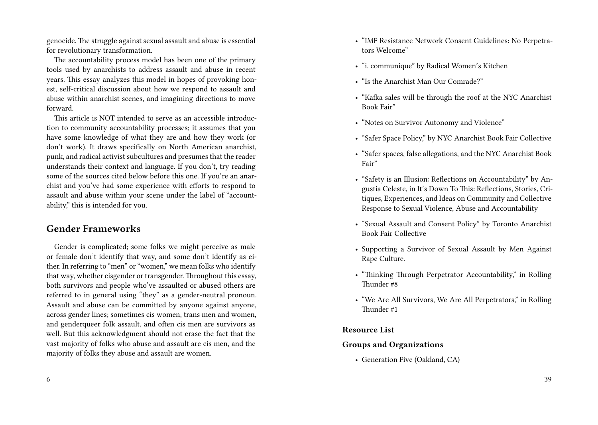genocide. The struggle against sexual assault and abuse is essential for revolutionary transformation.

The accountability process model has been one of the primary tools used by anarchists to address assault and abuse in recent years. This essay analyzes this model in hopes of provoking honest, self-critical discussion about how we respond to assault and abuse within anarchist scenes, and imagining directions to move forward.

This article is NOT intended to serve as an accessible introduction to community accountability processes; it assumes that you have some knowledge of what they are and how they work (or don't work). It draws specifically on North American anarchist, punk, and radical activist subcultures and presumes that the reader understands their context and language. If you don't, try reading some of the sources cited below before this one. If you're an anarchist and you've had some experience with efforts to respond to assault and abuse within your scene under the label of "accountability," this is intended for you.

## **Gender Frameworks**

Gender is complicated; some folks we might perceive as male or female don't identify that way, and some don't identify as either. In referring to "men" or "women," we mean folks who identify that way, whether cisgender or transgender. Throughout this essay, both survivors and people who've assaulted or abused others are referred to in general using "they" as a gender-neutral pronoun. Assault and abuse can be committed by anyone against anyone, across gender lines; sometimes cis women, trans men and women, and genderqueer folk assault, and often cis men are survivors as well. But this acknowledgment should not erase the fact that the vast majority of folks who abuse and assault are cis men, and the majority of folks they abuse and assault are women.

- "IMF Resistance Network Consent Guidelines: No Perpetrators Welcome"
- "i. communique" by Radical Women's Kitchen
- "Is the Anarchist Man Our Comrade?"
- "Kafka sales will be through the roof at the NYC Anarchist Book Fair"
- "Notes on Survivor Autonomy and Violence"
- "Safer Space Policy," by NYC Anarchist Book Fair Collective
- "Safer spaces, false allegations, and the NYC Anarchist Book Fair"
- "Safety is an Illusion: Reflections on Accountability" by Angustia Celeste, in It's Down To This: Reflections, Stories, Critiques, Experiences, and Ideas on Community and Collective Response to Sexual Violence, Abuse and Accountability
- "Sexual Assault and Consent Policy" by Toronto Anarchist Book Fair Collective
- Supporting a Survivor of Sexual Assault by Men Against Rape Culture.
- "Thinking Through Perpetrator Accountability," in Rolling Thunder #8
- "We Are All Survivors, We Are All Perpetrators," in Rolling Thunder #1

#### **Resource List**

#### **Groups and Organizations**

• Generation Five (Oakland, CA)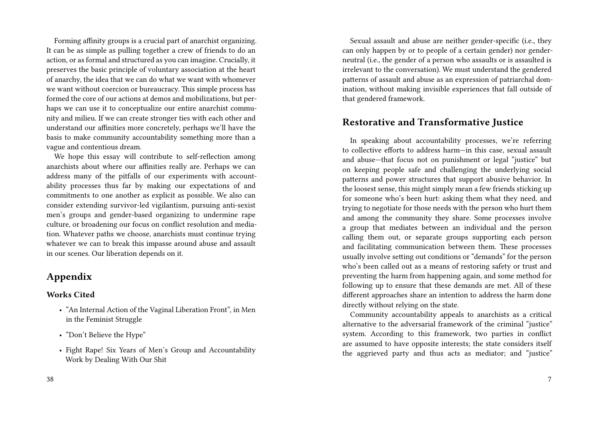Forming affinity groups is a crucial part of anarchist organizing. It can be as simple as pulling together a crew of friends to do an action, or as formal and structured as you can imagine. Crucially, it preserves the basic principle of voluntary association at the heart of anarchy, the idea that we can do what we want with whomever we want without coercion or bureaucracy. This simple process has formed the core of our actions at demos and mobilizations, but perhaps we can use it to conceptualize our entire anarchist community and milieu. If we can create stronger ties with each other and understand our affinities more concretely, perhaps we'll have the basis to make community accountability something more than a vague and contentious dream.

We hope this essay will contribute to self-reflection among anarchists about where our affinities really are. Perhaps we can address many of the pitfalls of our experiments with accountability processes thus far by making our expectations of and commitments to one another as explicit as possible. We also can consider extending survivor-led vigilantism, pursuing anti-sexist men's groups and gender-based organizing to undermine rape culture, or broadening our focus on conflict resolution and mediation. Whatever paths we choose, anarchists must continue trying whatever we can to break this impasse around abuse and assault in our scenes. Our liberation depends on it.

## **Appendix**

#### **Works Cited**

- "An Internal Action of the Vaginal Liberation Front", in Men in the Feminist Struggle
- "Don't Believe the Hype"
- Fight Rape! Six Years of Men's Group and Accountability Work by Dealing With Our Shit

Sexual assault and abuse are neither gender-specific (i.e., they can only happen by or to people of a certain gender) nor genderneutral (i.e., the gender of a person who assaults or is assaulted is irrelevant to the conversation). We must understand the gendered patterns of assault and abuse as an expression of patriarchal domination, without making invisible experiences that fall outside of that gendered framework.

## **Restorative and Transformative Justice**

In speaking about accountability processes, we're referring to collective efforts to address harm—in this case, sexual assault and abuse—that focus not on punishment or legal "justice" but on keeping people safe and challenging the underlying social patterns and power structures that support abusive behavior. In the loosest sense, this might simply mean a few friends sticking up for someone who's been hurt: asking them what they need, and trying to negotiate for those needs with the person who hurt them and among the community they share. Some processes involve a group that mediates between an individual and the person calling them out, or separate groups supporting each person and facilitating communication between them. These processes usually involve setting out conditions or "demands" for the person who's been called out as a means of restoring safety or trust and preventing the harm from happening again, and some method for following up to ensure that these demands are met. All of these different approaches share an intention to address the harm done directly without relying on the state.

Community accountability appeals to anarchists as a critical alternative to the adversarial framework of the criminal "justice" system. According to this framework, two parties in conflict are assumed to have opposite interests; the state considers itself the aggrieved party and thus acts as mediator; and "justice"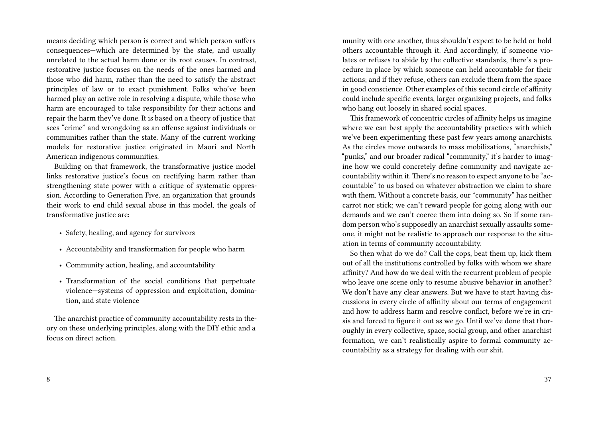means deciding which person is correct and which person suffers consequences—which are determined by the state, and usually unrelated to the actual harm done or its root causes. In contrast, restorative justice focuses on the needs of the ones harmed and those who did harm, rather than the need to satisfy the abstract principles of law or to exact punishment. Folks who've been harmed play an active role in resolving a dispute, while those who harm are encouraged to take responsibility for their actions and repair the harm they've done. It is based on a theory of justice that sees "crime" and wrongdoing as an offense against individuals or communities rather than the state. Many of the current working models for restorative justice originated in Maori and North American indigenous communities.

Building on that framework, the transformative justice model links restorative justice's focus on rectifying harm rather than strengthening state power with a critique of systematic oppression. According to Generation Five, an organization that grounds their work to end child sexual abuse in this model, the goals of transformative justice are:

- Safety, healing, and agency for survivors
- Accountability and transformation for people who harm
- Community action, healing, and accountability
- Transformation of the social conditions that perpetuate violence—systems of oppression and exploitation, domination, and state violence

The anarchist practice of community accountability rests in theory on these underlying principles, along with the DIY ethic and a focus on direct action.

munity with one another, thus shouldn't expect to be held or hold others accountable through it. And accordingly, if someone violates or refuses to abide by the collective standards, there's a procedure in place by which someone can held accountable for their actions; and if they refuse, others can exclude them from the space in good conscience. Other examples of this second circle of affinity could include specific events, larger organizing projects, and folks who hang out loosely in shared social spaces.

This framework of concentric circles of affinity helps us imagine where we can best apply the accountability practices with which we've been experimenting these past few years among anarchists. As the circles move outwards to mass mobilizations, "anarchists," "punks," and our broader radical "community," it's harder to imagine how we could concretely define community and navigate accountability within it. There's no reason to expect anyone to be "accountable" to us based on whatever abstraction we claim to share with them. Without a concrete basis, our "community" has neither carrot nor stick; we can't reward people for going along with our demands and we can't coerce them into doing so. So if some random person who's supposedly an anarchist sexually assaults someone, it might not be realistic to approach our response to the situation in terms of community accountability.

So then what do we do? Call the cops, beat them up, kick them out of all the institutions controlled by folks with whom we share affinity? And how do we deal with the recurrent problem of people who leave one scene only to resume abusive behavior in another? We don't have any clear answers. But we have to start having discussions in every circle of affinity about our terms of engagement and how to address harm and resolve conflict, before we're in crisis and forced to figure it out as we go. Until we've done that thoroughly in every collective, space, social group, and other anarchist formation, we can't realistically aspire to formal community accountability as a strategy for dealing with our shit.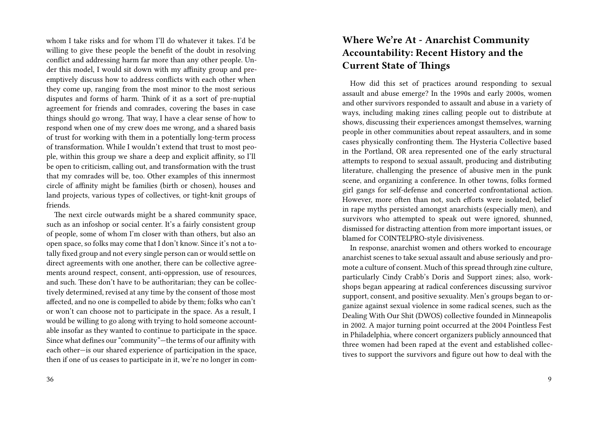whom I take risks and for whom I'll do whatever it takes. I'd be willing to give these people the benefit of the doubt in resolving conflict and addressing harm far more than any other people. Under this model, I would sit down with my affinity group and preemptively discuss how to address conflicts with each other when they come up, ranging from the most minor to the most serious disputes and forms of harm. Think of it as a sort of pre-nuptial agreement for friends and comrades, covering the bases in case things should go wrong. That way, I have a clear sense of how to respond when one of my crew does me wrong, and a shared basis of trust for working with them in a potentially long-term process of transformation. While I wouldn't extend that trust to most people, within this group we share a deep and explicit affinity, so I'll be open to criticism, calling out, and transformation with the trust that my comrades will be, too. Other examples of this innermost circle of affinity might be families (birth or chosen), houses and land projects, various types of collectives, or tight-knit groups of friends.

The next circle outwards might be a shared community space, such as an infoshop or social center. It's a fairly consistent group of people, some of whom I'm closer with than others, but also an open space, so folks may come that I don't know. Since it's not a totally fixed group and not every single person can or would settle on direct agreements with one another, there can be collective agreements around respect, consent, anti-oppression, use of resources, and such. These don't have to be authoritarian; they can be collectively determined, revised at any time by the consent of those most affected, and no one is compelled to abide by them; folks who can't or won't can choose not to participate in the space. As a result, I would be willing to go along with trying to hold someone accountable insofar as they wanted to continue to participate in the space. Since what defines our "community"—the terms of our affinity with each other—is our shared experience of participation in the space, then if one of us ceases to participate in it, we're no longer in com-

# **Where We're At - Anarchist Community Accountability: Recent History and the Current State of Things**

How did this set of practices around responding to sexual assault and abuse emerge? In the 1990s and early 2000s, women and other survivors responded to assault and abuse in a variety of ways, including making zines calling people out to distribute at shows, discussing their experiences amongst themselves, warning people in other communities about repeat assaulters, and in some cases physically confronting them. The Hysteria Collective based in the Portland, OR area represented one of the early structural attempts to respond to sexual assault, producing and distributing literature, challenging the presence of abusive men in the punk scene, and organizing a conference. In other towns, folks formed girl gangs for self-defense and concerted confrontational action. However, more often than not, such efforts were isolated, belief in rape myths persisted amongst anarchists (especially men), and survivors who attempted to speak out were ignored, shunned, dismissed for distracting attention from more important issues, or blamed for COINTELPRO-style divisiveness.

In response, anarchist women and others worked to encourage anarchist scenes to take sexual assault and abuse seriously and promote a culture of consent. Much of this spread through zine culture, particularly Cindy Crabb's Doris and Support zines; also, workshops began appearing at radical conferences discussing survivor support, consent, and positive sexuality. Men's groups began to organize against sexual violence in some radical scenes, such as the Dealing With Our Shit (DWOS) collective founded in Minneapolis in 2002. A major turning point occurred at the 2004 Pointless Fest in Philadelphia, where concert organizers publicly announced that three women had been raped at the event and established collectives to support the survivors and figure out how to deal with the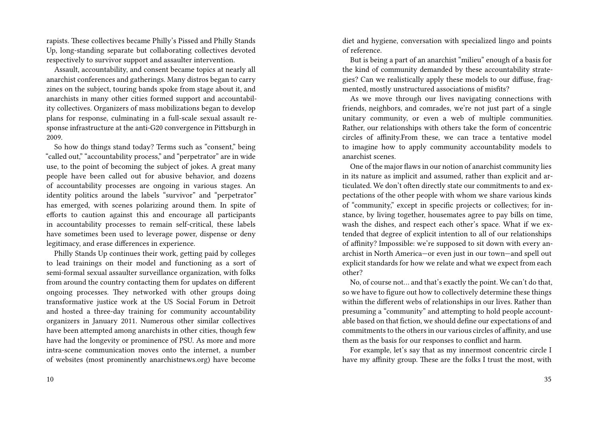rapists. These collectives became Philly's Pissed and Philly Stands Up, long-standing separate but collaborating collectives devoted respectively to survivor support and assaulter intervention.

Assault, accountability, and consent became topics at nearly all anarchist conferences and gatherings. Many distros began to carry zines on the subject, touring bands spoke from stage about it, and anarchists in many other cities formed support and accountability collectives. Organizers of mass mobilizations began to develop plans for response, culminating in a full-scale sexual assault response infrastructure at the anti-G20 convergence in Pittsburgh in 2009.

So how do things stand today? Terms such as "consent," being "called out," "accountability process," and "perpetrator" are in wide use, to the point of becoming the subject of jokes. A great many people have been called out for abusive behavior, and dozens of accountability processes are ongoing in various stages. An identity politics around the labels "survivor" and "perpetrator" has emerged, with scenes polarizing around them. In spite of efforts to caution against this and encourage all participants in accountability processes to remain self-critical, these labels have sometimes been used to leverage power, dispense or deny legitimacy, and erase differences in experience.

Philly Stands Up continues their work, getting paid by colleges to lead trainings on their model and functioning as a sort of semi-formal sexual assaulter surveillance organization, with folks from around the country contacting them for updates on different ongoing processes. They networked with other groups doing transformative justice work at the US Social Forum in Detroit and hosted a three-day training for community accountability organizers in January 2011. Numerous other similar collectives have been attempted among anarchists in other cities, though few have had the longevity or prominence of PSU. As more and more intra-scene communication moves onto the internet, a number of websites (most prominently anarchistnews.org) have become

diet and hygiene, conversation with specialized lingo and points of reference.

But is being a part of an anarchist "milieu" enough of a basis for the kind of community demanded by these accountability strategies? Can we realistically apply these models to our diffuse, fragmented, mostly unstructured associations of misfits?

As we move through our lives navigating connections with friends, neighbors, and comrades, we're not just part of a single unitary community, or even a web of multiple communities. Rather, our relationships with others take the form of concentric circles of affinity.From these, we can trace a tentative model to imagine how to apply community accountability models to anarchist scenes.

One of the major flaws in our notion of anarchist community lies in its nature as implicit and assumed, rather than explicit and articulated. We don't often directly state our commitments to and expectations of the other people with whom we share various kinds of "community," except in specific projects or collectives; for instance, by living together, housemates agree to pay bills on time, wash the dishes, and respect each other's space. What if we extended that degree of explicit intention to all of our relationships of affinity? Impossible: we're supposed to sit down with every anarchist in North America—or even just in our town—and spell out explicit standards for how we relate and what we expect from each other?

No, of course not… and that's exactly the point. We can't do that, so we have to figure out how to collectively determine these things within the different webs of relationships in our lives. Rather than presuming a "community" and attempting to hold people accountable based on that fiction, we should define our expectations of and commitments to the others in our various circles of affinity, and use them as the basis for our responses to conflict and harm.

For example, let's say that as my innermost concentric circle I have my affinity group. These are the folks I trust the most, with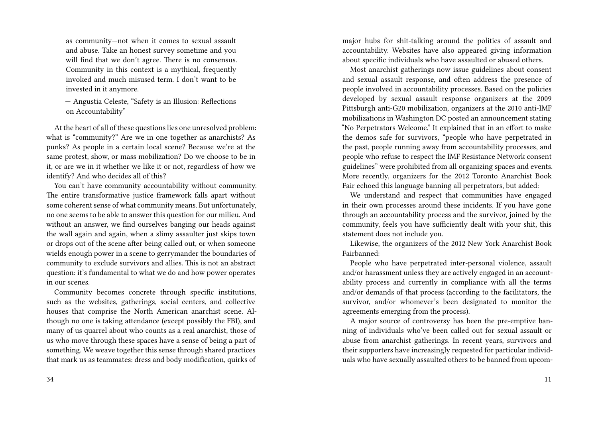as community—not when it comes to sexual assault and abuse. Take an honest survey sometime and you will find that we don't agree. There is no consensus. Community in this context is a mythical, frequently invoked and much misused term. I don't want to be invested in it anymore.

— Angustia Celeste, "Safety is an Illusion: Reflections on Accountability"

At the heart of all of these questions lies one unresolved problem: what is "community?" Are we in one together as anarchists? As punks? As people in a certain local scene? Because we're at the same protest, show, or mass mobilization? Do we choose to be in it, or are we in it whether we like it or not, regardless of how we identify? And who decides all of this?

You can't have community accountability without community. The entire transformative justice framework falls apart without some coherent sense of what community means. But unfortunately, no one seems to be able to answer this question for our milieu. And without an answer, we find ourselves banging our heads against the wall again and again, when a slimy assaulter just skips town or drops out of the scene after being called out, or when someone wields enough power in a scene to gerrymander the boundaries of community to exclude survivors and allies. This is not an abstract question: it's fundamental to what we do and how power operates in our scenes.

Community becomes concrete through specific institutions, such as the websites, gatherings, social centers, and collective houses that comprise the North American anarchist scene. Although no one is taking attendance (except possibly the FBI), and many of us quarrel about who counts as a real anarchist, those of us who move through these spaces have a sense of being a part of something. We weave together this sense through shared practices that mark us as teammates: dress and body modification, quirks of major hubs for shit-talking around the politics of assault and accountability. Websites have also appeared giving information about specific individuals who have assaulted or abused others.

Most anarchist gatherings now issue guidelines about consent and sexual assault response, and often address the presence of people involved in accountability processes. Based on the policies developed by sexual assault response organizers at the 2009 Pittsburgh anti-G20 mobilization, organizers at the 2010 anti-IMF mobilizations in Washington DC posted an announcement stating "No Perpetrators Welcome." It explained that in an effort to make the demos safe for survivors, "people who have perpetrated in the past, people running away from accountability processes, and people who refuse to respect the IMF Resistance Network consent guidelines" were prohibited from all organizing spaces and events. More recently, organizers for the 2012 Toronto Anarchist Book Fair echoed this language banning all perpetrators, but added:

We understand and respect that communities have engaged in their own processes around these incidents. If you have gone through an accountability process and the survivor, joined by the community, feels you have sufficiently dealt with your shit, this statement does not include you.

Likewise, the organizers of the 2012 New York Anarchist Book Fairbanned:

People who have perpetrated inter-personal violence, assault and/or harassment unless they are actively engaged in an accountability process and currently in compliance with all the terms and/or demands of that process (according to the facilitators, the survivor, and/or whomever's been designated to monitor the agreements emerging from the process).

A major source of controversy has been the pre-emptive banning of individuals who've been called out for sexual assault or abuse from anarchist gatherings. In recent years, survivors and their supporters have increasingly requested for particular individuals who have sexually assaulted others to be banned from upcom-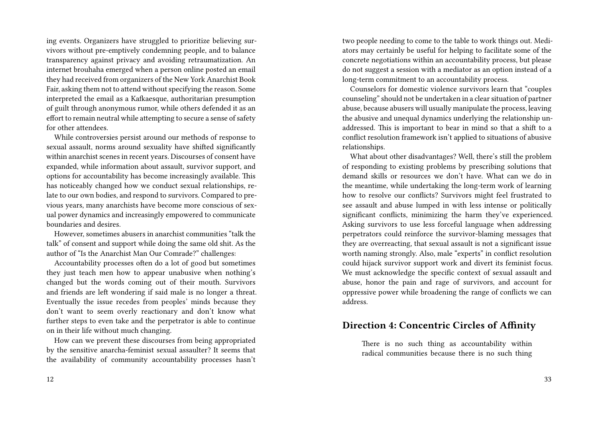ing events. Organizers have struggled to prioritize believing survivors without pre-emptively condemning people, and to balance transparency against privacy and avoiding retraumatization. An internet brouhaha emerged when a person online posted an email they had received from organizers of the New York Anarchist Book Fair, asking them not to attend without specifying the reason. Some interpreted the email as a Kafkaesque, authoritarian presumption of guilt through anonymous rumor, while others defended it as an effort to remain neutral while attempting to secure a sense of safety for other attendees.

While controversies persist around our methods of response to sexual assault, norms around sexuality have shifted significantly within anarchist scenes in recent years. Discourses of consent have expanded, while information about assault, survivor support, and options for accountability has become increasingly available. This has noticeably changed how we conduct sexual relationships, relate to our own bodies, and respond to survivors. Compared to previous years, many anarchists have become more conscious of sexual power dynamics and increasingly empowered to communicate boundaries and desires.

However, sometimes abusers in anarchist communities "talk the talk" of consent and support while doing the same old shit. As the author of "Is the Anarchist Man Our Comrade?" challenges:

Accountability processes often do a lot of good but sometimes they just teach men how to appear unabusive when nothing's changed but the words coming out of their mouth. Survivors and friends are left wondering if said male is no longer a threat. Eventually the issue recedes from peoples' minds because they don't want to seem overly reactionary and don't know what further steps to even take and the perpetrator is able to continue on in their life without much changing.

How can we prevent these discourses from being appropriated by the sensitive anarcha-feminist sexual assaulter? It seems that the availability of community accountability processes hasn't

two people needing to come to the table to work things out. Mediators may certainly be useful for helping to facilitate some of the concrete negotiations within an accountability process, but please do not suggest a session with a mediator as an option instead of a long-term commitment to an accountability process.

Counselors for domestic violence survivors learn that "couples counseling" should not be undertaken in a clear situation of partner abuse, because abusers will usually manipulate the process, leaving the abusive and unequal dynamics underlying the relationship unaddressed. This is important to bear in mind so that a shift to a conflict resolution framework isn't applied to situations of abusive relationships.

What about other disadvantages? Well, there's still the problem of responding to existing problems by prescribing solutions that demand skills or resources we don't have. What can we do in the meantime, while undertaking the long-term work of learning how to resolve our conflicts? Survivors might feel frustrated to see assault and abuse lumped in with less intense or politically significant conflicts, minimizing the harm they've experienced. Asking survivors to use less forceful language when addressing perpetrators could reinforce the survivor-blaming messages that they are overreacting, that sexual assault is not a significant issue worth naming strongly. Also, male "experts" in conflict resolution could hijack survivor support work and divert its feminist focus. We must acknowledge the specific context of sexual assault and abuse, honor the pain and rage of survivors, and account for oppressive power while broadening the range of conflicts we can address.

#### **Direction 4: Concentric Circles of Affinity**

There is no such thing as accountability within radical communities because there is no such thing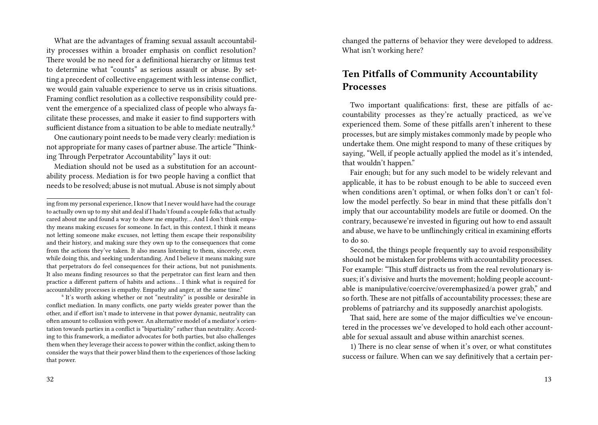What are the advantages of framing sexual assault accountability processes within a broader emphasis on conflict resolution? There would be no need for a definitional hierarchy or litmus test to determine what "counts" as serious assault or abuse. By setting a precedent of collective engagement with less intense conflict, we would gain valuable experience to serve us in crisis situations. Framing conflict resolution as a collective responsibility could prevent the emergence of a specialized class of people who always facilitate these processes, and make it easier to find supporters with sufficient distance from a situation to be able to mediate neutrally.<sup>6</sup>

One cautionary point needs to be made very clearly: mediation is not appropriate for many cases of partner abuse. The article "Thinking Through Perpetrator Accountability" lays it out:

Mediation should not be used as a substitution for an accountability process. Mediation is for two people having a conflict that needs to be resolved; abuse is not mutual. Abuse is not simply about

<sup>6</sup> It's worth asking whether or not "neutrality" is possible or desirable in conflict mediation. In many conflicts, one party wields greater power than the other, and if effort isn't made to intervene in that power dynamic, neutrality can often amount to collusion with power. An alternative model of a mediator's orientation towards parties in a conflict is "bipartiality" rather than neutrality. According to this framework, a mediator advocates for both parties, but also challenges them when they leverage their access to power within the conflict, asking them to consider the ways that their power blind them to the experiences of those lacking that power.

changed the patterns of behavior they were developed to address. What isn't working here?

## **Ten Pitfalls of Community Accountability Processes**

Two important qualifications: first, these are pitfalls of accountability processes as they're actually practiced, as we've experienced them. Some of these pitfalls aren't inherent to these processes, but are simply mistakes commonly made by people who undertake them. One might respond to many of these critiques by saying, "Well, if people actually applied the model as it's intended, that wouldn't happen."

Fair enough; but for any such model to be widely relevant and applicable, it has to be robust enough to be able to succeed even when conditions aren't optimal, or when folks don't or can't follow the model perfectly. So bear in mind that these pitfalls don't imply that our accountability models are futile or doomed. On the contrary, becausewe're invested in figuring out how to end assault and abuse, we have to be unflinchingly critical in examining efforts to do so.

Second, the things people frequently say to avoid responsibility should not be mistaken for problems with accountability processes. For example: "This stuff distracts us from the real revolutionary issues; it's divisive and hurts the movement; holding people accountable is manipulative/coercive/overemphasized/a power grab," and so forth. These are not pitfalls of accountability processes; these are problems of patriarchy and its supposedly anarchist apologists.

That said, here are some of the major difficulties we've encountered in the processes we've developed to hold each other accountable for sexual assault and abuse within anarchist scenes.

1) There is no clear sense of when it's over, or what constitutes success or failure. When can we say definitively that a certain per-

ing from my personal experience, I know that I never would have had the courage to actually own up to my shit and deal if I hadn't found a couple folks that actually cared about me and found a way to show me empathy… And I don't think empathy means making excuses for someone. In fact, in this context, I think it means not letting someone make excuses, not letting them escape their responsibility and their history, and making sure they own up to the consequences that come from the actions they've taken. It also means listening to them, sincerely, even while doing this, and seeking understanding. And I believe it means making sure that perpetrators do feel consequences for their actions, but not punishments. It also means finding resources so that the perpetrator can first learn and then practice a different pattern of habits and actions… I think what is required for accountability processes is empathy. Empathy and anger, at the same time."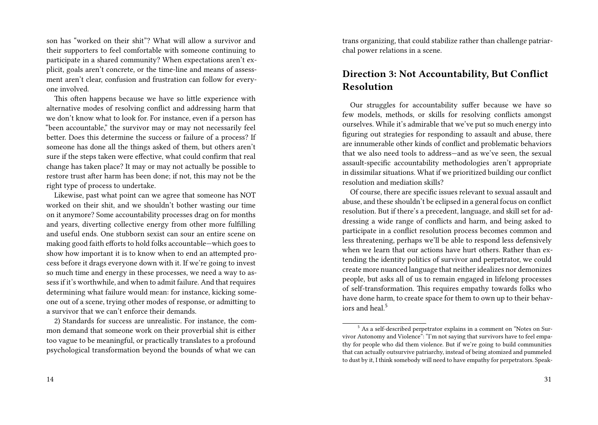son has "worked on their shit"? What will allow a survivor and their supporters to feel comfortable with someone continuing to participate in a shared community? When expectations aren't explicit, goals aren't concrete, or the time-line and means of assessment aren't clear, confusion and frustration can follow for everyone involved.

This often happens because we have so little experience with alternative modes of resolving conflict and addressing harm that we don't know what to look for. For instance, even if a person has "been accountable," the survivor may or may not necessarily feel better. Does this determine the success or failure of a process? If someone has done all the things asked of them, but others aren't sure if the steps taken were effective, what could confirm that real change has taken place? It may or may not actually be possible to restore trust after harm has been done; if not, this may not be the right type of process to undertake.

Likewise, past what point can we agree that someone has NOT worked on their shit, and we shouldn't bother wasting our time on it anymore? Some accountability processes drag on for months and years, diverting collective energy from other more fulfilling and useful ends. One stubborn sexist can sour an entire scene on making good faith efforts to hold folks accountable—which goes to show how important it is to know when to end an attempted process before it drags everyone down with it. If we're going to invest so much time and energy in these processes, we need a way to assess if it's worthwhile, and when to admit failure. And that requires determining what failure would mean: for instance, kicking someone out of a scene, trying other modes of response, or admitting to a survivor that we can't enforce their demands.

2) Standards for success are unrealistic. For instance, the common demand that someone work on their proverbial shit is either too vague to be meaningful, or practically translates to a profound psychological transformation beyond the bounds of what we can

trans organizing, that could stabilize rather than challenge patriarchal power relations in a scene.

## **Direction 3: Not Accountability, But Conflict Resolution**

Our struggles for accountability suffer because we have so few models, methods, or skills for resolving conflicts amongst ourselves. While it's admirable that we've put so much energy into figuring out strategies for responding to assault and abuse, there are innumerable other kinds of conflict and problematic behaviors that we also need tools to address—and as we've seen, the sexual assault-specific accountability methodologies aren't appropriate in dissimilar situations. What if we prioritized building our conflict resolution and mediation skills?

Of course, there are specific issues relevant to sexual assault and abuse, and these shouldn't be eclipsed in a general focus on conflict resolution. But if there's a precedent, language, and skill set for addressing a wide range of conflicts and harm, and being asked to participate in a conflict resolution process becomes common and less threatening, perhaps we'll be able to respond less defensively when we learn that our actions have hurt others. Rather than extending the identity politics of survivor and perpetrator, we could create more nuanced language that neither idealizes nor demonizes people, but asks all of us to remain engaged in lifelong processes of self-transformation. This requires empathy towards folks who have done harm, to create space for them to own up to their behaviors and heal.<sup>5</sup>

<sup>5</sup> As a self-described perpetrator explains in a comment on "Notes on Survivor Autonomy and Violence": "I'm not saying that survivors have to feel empathy for people who did them violence. But if we're going to build communities that can actually outsurvive patriarchy, instead of being atomized and pummeled to dust by it, I think somebody will need to have empathy for perpetrators. Speak-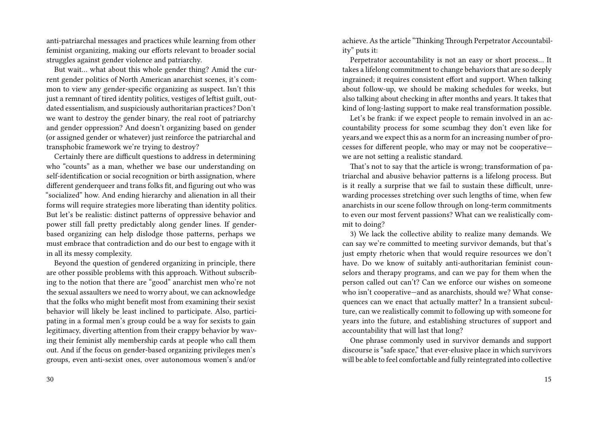anti-patriarchal messages and practices while learning from other feminist organizing, making our efforts relevant to broader social struggles against gender violence and patriarchy.

But wait… what about this whole gender thing? Amid the current gender politics of North American anarchist scenes, it's common to view any gender-specific organizing as suspect. Isn't this just a remnant of tired identity politics, vestiges of leftist guilt, outdated essentialism, and suspiciously authoritarian practices? Don't we want to destroy the gender binary, the real root of patriarchy and gender oppression? And doesn't organizing based on gender (or assigned gender or whatever) just reinforce the patriarchal and transphobic framework we're trying to destroy?

Certainly there are difficult questions to address in determining who "counts" as a man, whether we base our understanding on self-identification or social recognition or birth assignation, where different genderqueer and trans folks fit, and figuring out who was "socialized" how. And ending hierarchy and alienation in all their forms will require strategies more liberating than identity politics. But let's be realistic: distinct patterns of oppressive behavior and power still fall pretty predictably along gender lines. If genderbased organizing can help dislodge those patterns, perhaps we must embrace that contradiction and do our best to engage with it in all its messy complexity.

Beyond the question of gendered organizing in principle, there are other possible problems with this approach. Without subscribing to the notion that there are "good" anarchist men who're not the sexual assaulters we need to worry about, we can acknowledge that the folks who might benefit most from examining their sexist behavior will likely be least inclined to participate. Also, participating in a formal men's group could be a way for sexists to gain legitimacy, diverting attention from their crappy behavior by waving their feminist ally membership cards at people who call them out. And if the focus on gender-based organizing privileges men's groups, even anti-sexist ones, over autonomous women's and/or

30

achieve. As the article "Thinking Through Perpetrator Accountability" puts it:

Perpetrator accountability is not an easy or short process… It takes a lifelong commitment to change behaviors that are so deeply ingrained; it requires consistent effort and support. When talking about follow-up, we should be making schedules for weeks, but also talking about checking in after months and years. It takes that kind of long-lasting support to make real transformation possible.

Let's be frank: if we expect people to remain involved in an accountability process for some scumbag they don't even like for years,and we expect this as a norm for an increasing number of processes for different people, who may or may not be cooperative we are not setting a realistic standard.

That's not to say that the article is wrong; transformation of patriarchal and abusive behavior patterns is a lifelong process. But is it really a surprise that we fail to sustain these difficult, unrewarding processes stretching over such lengths of time, when few anarchists in our scene follow through on long-term commitments to even our most fervent passions? What can we realistically commit to doing?

3) We lack the collective ability to realize many demands. We can say we're committed to meeting survivor demands, but that's just empty rhetoric when that would require resources we don't have. Do we know of suitably anti-authoritarian feminist counselors and therapy programs, and can we pay for them when the person called out can't? Can we enforce our wishes on someone who isn't cooperative—and as anarchists, should we? What consequences can we enact that actually matter? In a transient subculture, can we realistically commit to following up with someone for years into the future, and establishing structures of support and accountability that will last that long?

One phrase commonly used in survivor demands and support discourse is "safe space," that ever-elusive place in which survivors will be able to feel comfortable and fully reintegrated into collective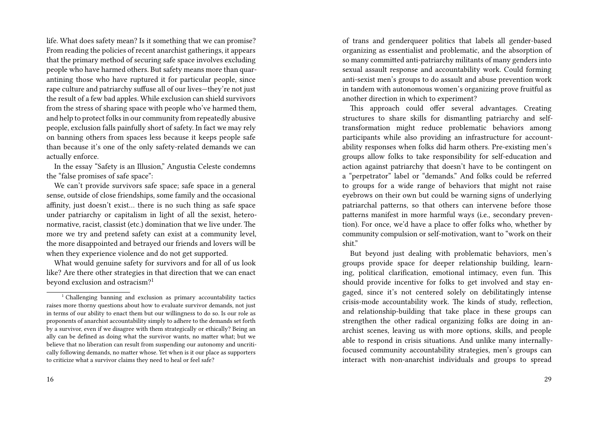life. What does safety mean? Is it something that we can promise? From reading the policies of recent anarchist gatherings, it appears that the primary method of securing safe space involves excluding people who have harmed others. But safety means more than quarantining those who have ruptured it for particular people, since rape culture and patriarchy suffuse all of our lives—they're not just the result of a few bad apples. While exclusion can shield survivors from the stress of sharing space with people who've harmed them, and help to protect folks in our community from repeatedly abusive people, exclusion falls painfully short of safety. In fact we may rely on banning others from spaces less because it keeps people safe than because it's one of the only safety-related demands we can actually enforce.

In the essay "Safety is an Illusion," Angustia Celeste condemns the "false promises of safe space":

We can't provide survivors safe space; safe space in a general sense, outside of close friendships, some family and the occasional affinity, just doesn't exist… there is no such thing as safe space under patriarchy or capitalism in light of all the sexist, heteronormative, racist, classist (etc.) domination that we live under. The more we try and pretend safety can exist at a community level, the more disappointed and betrayed our friends and lovers will be when they experience violence and do not get supported.

What would genuine safety for survivors and for all of us look like? Are there other strategies in that direction that we can enact beyond exclusion and ostracism?<sup>1</sup>

of trans and genderqueer politics that labels all gender-based organizing as essentialist and problematic, and the absorption of so many committed anti-patriarchy militants of many genders into sexual assault response and accountability work. Could forming anti-sexist men's groups to do assault and abuse prevention work in tandem with autonomous women's organizing prove fruitful as another direction in which to experiment?

This approach could offer several advantages. Creating structures to share skills for dismantling patriarchy and selftransformation might reduce problematic behaviors among participants while also providing an infrastructure for accountability responses when folks did harm others. Pre-existing men's groups allow folks to take responsibility for self-education and action against patriarchy that doesn't have to be contingent on a "perpetrator" label or "demands." And folks could be referred to groups for a wide range of behaviors that might not raise eyebrows on their own but could be warning signs of underlying patriarchal patterns, so that others can intervene before those patterns manifest in more harmful ways (i.e., secondary prevention). For once, we'd have a place to offer folks who, whether by community compulsion or self-motivation, want to "work on their shit."

But beyond just dealing with problematic behaviors, men's groups provide space for deeper relationship building, learning, political clarification, emotional intimacy, even fun. This should provide incentive for folks to get involved and stay engaged, since it's not centered solely on debilitatingly intense crisis-mode accountability work. The kinds of study, reflection, and relationship-building that take place in these groups can strengthen the other radical organizing folks are doing in anarchist scenes, leaving us with more options, skills, and people able to respond in crisis situations. And unlike many internallyfocused community accountability strategies, men's groups can interact with non-anarchist individuals and groups to spread

 $1$ <sup>1</sup> Challenging banning and exclusion as primary accountability tactics raises more thorny questions about how to evaluate survivor demands, not just in terms of our ability to enact them but our willingness to do so. Is our role as proponents of anarchist accountability simply to adhere to the demands set forth by a survivor, even if we disagree with them strategically or ethically? Being an ally can be defined as doing what the survivor wants, no matter what; but we believe that no liberation can result from suspending our autonomy and uncritically following demands, no matter whose. Yet when is it our place as supporters to criticize what a survivor claims they need to heal or feel safe?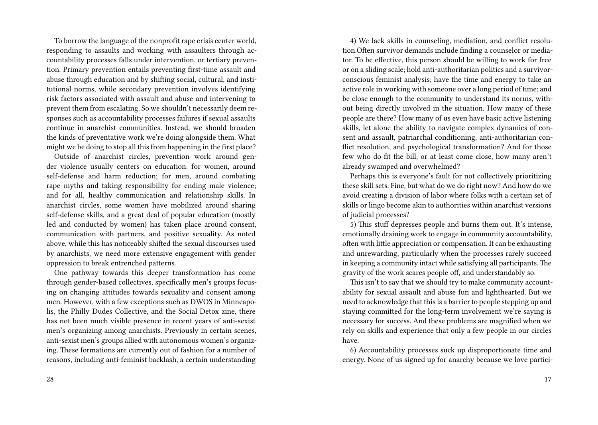To borrow the language of the nonprofit rape crisis center world, responding to assaults and working with assaulters through accountability processes falls under intervention, or tertiary prevention. Primary prevention entails preventing first-time assault and abuse through education and by shifting social, cultural, and institutional norms, while secondary prevention involves identifying risk factors associated with assault and abuse and intervening to prevent them from escalating. So we shouldn't necessarily deem responses such as accountability processes failures if sexual assaults continue in anarchist communities. Instead, we should broaden the kinds of preventative work we're doing alongside them. What might we be doing to stop all this from happening in the first place?

Outside of anarchist circles, prevention work around gender violence usually centers on education: for women, around self-defense and harm reduction; for men, around combating rape myths and taking responsibility for ending male violence; and for all, healthy communication and relationship skills. In anarchist circles, some women have mobilized around sharing self-defense skills, and a great deal of popular education (mostly led and conducted by women) has taken place around consent, communication with partners, and positive sexuality. As noted above, while this has noticeably shifted the sexual discourses used by anarchists, we need more extensive engagement with gender oppression to break entrenched patterns.

One pathway towards this deeper transformation has come through gender-based collectives, specifically men's groups focusing on changing attitudes towards sexuality and consent among men. However, with a few exceptions such as DWOS in Minneapolis, the Philly Dudes Collective, and the Social Detox zine, there has not been much visible presence in recent years of anti-sexist men's organizing among anarchists. Previously in certain scenes, anti-sexist men's groups allied with autonomous women's organizing. These formations are currently out of fashion for a number of reasons, including anti-feminist backlash, a certain understanding

4) We lack skills in counseling, mediation, and conflict resolution.Often survivor demands include finding a counselor or mediator. To be effective, this person should be willing to work for free or on a sliding scale; hold anti-authoritarian politics and a survivorconscious feminist analysis; have the time and energy to take an active role in working with someone over a long period of time; and be close enough to the community to understand its norms, without being directly involved in the situation. How many of these people are there? How many of us even have basic active listening skills, let alone the ability to navigate complex dynamics of consent and assault, patriarchal conditioning, anti-authoritarian conflict resolution, and psychological transformation? And for those few who do fit the bill, or at least come close, how many aren't already swamped and overwhelmed?

Perhaps this is everyone's fault for not collectively prioritizing these skill sets. Fine, but what do we do right now? And how do we avoid creating a division of labor where folks with a certain set of skills or lingo become akin to authorities within anarchist versions of judicial processes?

5) This stuff depresses people and burns them out. It's intense, emotionally draining work to engage in community accountability, often with little appreciation or compensation. It can be exhausting and unrewarding, particularly when the processes rarely succeed in keeping a community intact while satisfying all participants. The gravity of the work scares people off, and understandably so.

This isn't to say that we should try to make community accountability for sexual assault and abuse fun and lighthearted. But we need to acknowledge that this is a barrier to people stepping up and staying committed for the long-term involvement we're saying is necessary for success. And these problems are magnified when we rely on skills and experience that only a few people in our circles have.

6) Accountability processes suck up disproportionate time and energy. None of us signed up for anarchy because we love partici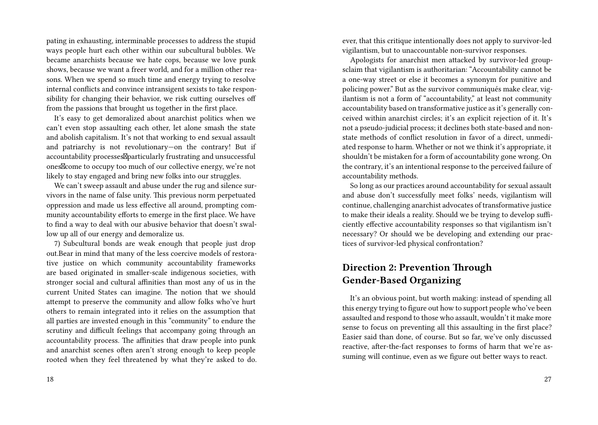pating in exhausting, interminable processes to address the stupid ways people hurt each other within our subcultural bubbles. We became anarchists because we hate cops, because we love punk shows, because we want a freer world, and for a million other reasons. When we spend so much time and energy trying to resolve internal conflicts and convince intransigent sexists to take responsibility for changing their behavior, we risk cutting ourselves off from the passions that brought us together in the first place.

It's easy to get demoralized about anarchist politics when we can't even stop assaulting each other, let alone smash the state and abolish capitalism. It's not that working to end sexual assault and patriarchy is not revolutionary—on the contrary! But if accountability processes *Aparticularly frustrating and unsuccessful* ones<sup>I</sup> come to occupy too much of our collective energy, we're not likely to stay engaged and bring new folks into our struggles.

We can't sweep assault and abuse under the rug and silence survivors in the name of false unity. This previous norm perpetuated oppression and made us less effective all around, prompting community accountability efforts to emerge in the first place. We have to find a way to deal with our abusive behavior that doesn't swallow up all of our energy and demoralize us.

7) Subcultural bonds are weak enough that people just drop out.Bear in mind that many of the less coercive models of restorative justice on which community accountability frameworks are based originated in smaller-scale indigenous societies, with stronger social and cultural affinities than most any of us in the current United States can imagine. The notion that we should attempt to preserve the community and allow folks who've hurt others to remain integrated into it relies on the assumption that all parties are invested enough in this "community" to endure the scrutiny and difficult feelings that accompany going through an accountability process. The affinities that draw people into punk and anarchist scenes often aren't strong enough to keep people rooted when they feel threatened by what they're asked to do. ever, that this critique intentionally does not apply to survivor-led vigilantism, but to unaccountable non-survivor responses.

Apologists for anarchist men attacked by survivor-led groupsclaim that vigilantism is authoritarian: "Accountability cannot be a one-way street or else it becomes a synonym for punitive and policing power." But as the survivor communiqués make clear, vigilantism is not a form of "accountability," at least not community accountability based on transformative justice as it's generally conceived within anarchist circles; it's an explicit rejection of it. It's not a pseudo-judicial process; it declines both state-based and nonstate methods of conflict resolution in favor of a direct, unmediated response to harm. Whether or not we think it's appropriate, it shouldn't be mistaken for a form of accountability gone wrong. On the contrary, it's an intentional response to the perceived failure of accountability methods.

So long as our practices around accountability for sexual assault and abuse don't successfully meet folks' needs, vigilantism will continue, challenging anarchist advocates of transformative justice to make their ideals a reality. Should we be trying to develop sufficiently effective accountability responses so that vigilantism isn't necessary? Or should we be developing and extending our practices of survivor-led physical confrontation?

# **Direction 2: Prevention Through Gender-Based Organizing**

It's an obvious point, but worth making: instead of spending all this energy trying to figure out how to support people who've been assaulted and respond to those who assault, wouldn't it make more sense to focus on preventing all this assaulting in the first place? Easier said than done, of course. But so far, we've only discussed reactive, after-the-fact responses to forms of harm that we're assuming will continue, even as we figure out better ways to react.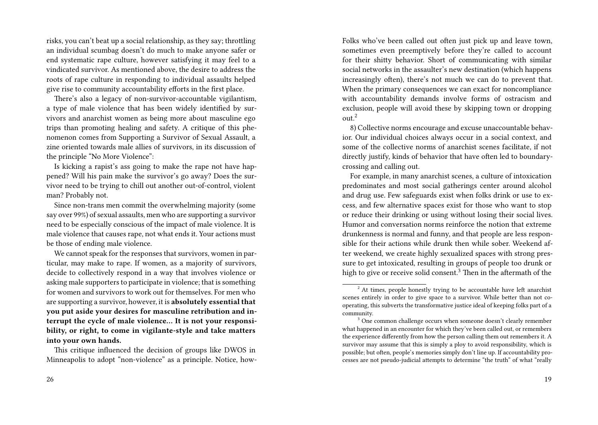risks, you can't beat up a social relationship, as they say; throttling an individual scumbag doesn't do much to make anyone safer or end systematic rape culture, however satisfying it may feel to a vindicated survivor. As mentioned above, the desire to address the roots of rape culture in responding to individual assaults helped give rise to community accountability efforts in the first place.

There's also a legacy of non-survivor-accountable vigilantism, a type of male violence that has been widely identified by survivors and anarchist women as being more about masculine ego trips than promoting healing and safety. A critique of this phenomenon comes from Supporting a Survivor of Sexual Assault, a zine oriented towards male allies of survivors, in its discussion of the principle "No More Violence":

Is kicking a rapist's ass going to make the rape not have happened? Will his pain make the survivor's go away? Does the survivor need to be trying to chill out another out-of-control, violent man? Probably not.

Since non-trans men commit the overwhelming majority (some say over 99%) of sexual assaults, men who are supporting a survivor need to be especially conscious of the impact of male violence. It is male violence that causes rape, not what ends it. Your actions must be those of ending male violence.

We cannot speak for the responses that survivors, women in particular, may make to rape. If women, as a majority of survivors, decide to collectively respond in a way that involves violence or asking male supporters to participate in violence; that is something for women and survivors to work out for themselves. For men who are supporting a survivor, however, it is **absolutely essential that you put aside your desires for masculine retribution and interrupt the cycle of male violence… It is not your responsibility, or right, to come in vigilante-style and take matters into your own hands.**

This critique influenced the decision of groups like DWOS in Minneapolis to adopt "non-violence" as a principle. Notice, howFolks who've been called out often just pick up and leave town, sometimes even preemptively before they're called to account for their shitty behavior. Short of communicating with similar social networks in the assaulter's new destination (which happens increasingly often), there's not much we can do to prevent that. When the primary consequences we can exact for noncompliance with accountability demands involve forms of ostracism and exclusion, people will avoid these by skipping town or dropping  $\text{out}^2$ 

8) Collective norms encourage and excuse unaccountable behavior. Our individual choices always occur in a social context, and some of the collective norms of anarchist scenes facilitate, if not directly justify, kinds of behavior that have often led to boundarycrossing and calling out.

For example, in many anarchist scenes, a culture of intoxication predominates and most social gatherings center around alcohol and drug use. Few safeguards exist when folks drink or use to excess, and few alternative spaces exist for those who want to stop or reduce their drinking or using without losing their social lives. Humor and conversation norms reinforce the notion that extreme drunkenness is normal and funny, and that people are less responsible for their actions while drunk then while sober. Weekend after weekend, we create highly sexualized spaces with strong pressure to get intoxicated, resulting in groups of people too drunk or high to give or receive solid consent.<sup>3</sup> Then in the aftermath of the

<sup>&</sup>lt;sup>2</sup> At times, people honestly trying to be accountable have left anarchist scenes entirely in order to give space to a survivor. While better than not cooperating, this subverts the transformative justice ideal of keeping folks part of a community.

<sup>&</sup>lt;sup>3</sup> One common challenge occurs when someone doesn't clearly remember what happened in an encounter for which they've been called out, or remembers the experience differently from how the person calling them out remembers it. A survivor may assume that this is simply a ploy to avoid responsibility, which is possible; but often, people's memories simply don't line up. If accountability processes are not pseudo-judicial attempts to determine "the truth" of what "really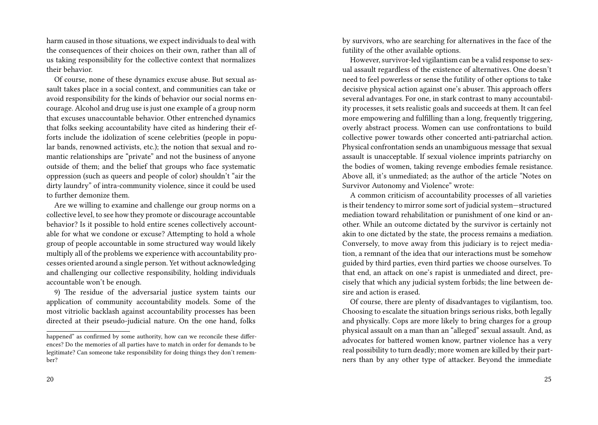harm caused in those situations, we expect individuals to deal with the consequences of their choices on their own, rather than all of us taking responsibility for the collective context that normalizes their behavior.

Of course, none of these dynamics excuse abuse. But sexual assault takes place in a social context, and communities can take or avoid responsibility for the kinds of behavior our social norms encourage. Alcohol and drug use is just one example of a group norm that excuses unaccountable behavior. Other entrenched dynamics that folks seeking accountability have cited as hindering their efforts include the idolization of scene celebrities (people in popular bands, renowned activists, etc.); the notion that sexual and romantic relationships are "private" and not the business of anyone outside of them; and the belief that groups who face systematic oppression (such as queers and people of color) shouldn't "air the dirty laundry" of intra-community violence, since it could be used to further demonize them.

Are we willing to examine and challenge our group norms on a collective level, to see how they promote or discourage accountable behavior? Is it possible to hold entire scenes collectively accountable for what we condone or excuse? Attempting to hold a whole group of people accountable in some structured way would likely multiply all of the problems we experience with accountability processes oriented around a single person. Yet without acknowledging and challenging our collective responsibility, holding individuals accountable won't be enough.

9) The residue of the adversarial justice system taints our application of community accountability models. Some of the most vitriolic backlash against accountability processes has been directed at their pseudo-judicial nature. On the one hand, folks by survivors, who are searching for alternatives in the face of the futility of the other available options.

However, survivor-led vigilantism can be a valid response to sexual assault regardless of the existence of alternatives. One doesn't need to feel powerless or sense the futility of other options to take decisive physical action against one's abuser. This approach offers several advantages. For one, in stark contrast to many accountability processes, it sets realistic goals and succeeds at them. It can feel more empowering and fulfilling than a long, frequently triggering, overly abstract process. Women can use confrontations to build collective power towards other concerted anti-patriarchal action. Physical confrontation sends an unambiguous message that sexual assault is unacceptable. If sexual violence imprints patriarchy on the bodies of women, taking revenge embodies female resistance. Above all, it's unmediated; as the author of the article "Notes on Survivor Autonomy and Violence" wrote:

A common criticism of accountability processes of all varieties is their tendency to mirror some sort of judicial system—structured mediation toward rehabilitation or punishment of one kind or another. While an outcome dictated by the survivor is certainly not akin to one dictated by the state, the process remains a mediation. Conversely, to move away from this judiciary is to reject mediation, a remnant of the idea that our interactions must be somehow guided by third parties, even third parties we choose ourselves. To that end, an attack on one's rapist is unmediated and direct, precisely that which any judicial system forbids; the line between desire and action is erased.

Of course, there are plenty of disadvantages to vigilantism, too. Choosing to escalate the situation brings serious risks, both legally and physically. Cops are more likely to bring charges for a group physical assault on a man than an "alleged" sexual assault. And, as advocates for battered women know, partner violence has a very real possibility to turn deadly; more women are killed by their partners than by any other type of attacker. Beyond the immediate

happened" as confirmed by some authority, how can we reconcile these differences? Do the memories of all parties have to match in order for demands to be legitimate? Can someone take responsibility for doing things they don't remember?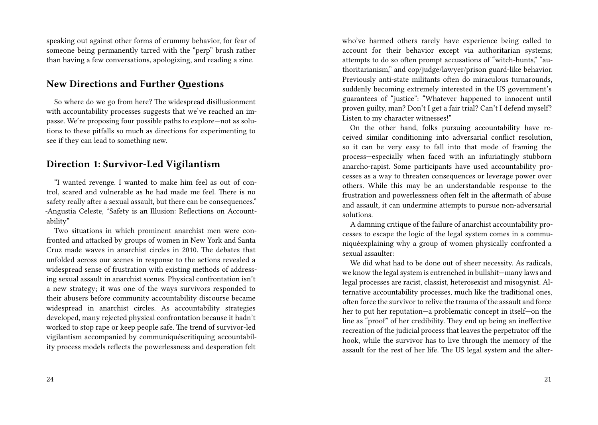speaking out against other forms of crummy behavior, for fear of someone being permanently tarred with the "perp" brush rather than having a few conversations, apologizing, and reading a zine.

#### **New Directions and Further Questions**

So where do we go from here? The widespread disillusionment with accountability processes suggests that we've reached an impasse. We're proposing four possible paths to explore—not as solutions to these pitfalls so much as directions for experimenting to see if they can lead to something new.

## **Direction 1: Survivor-Led Vigilantism**

"I wanted revenge. I wanted to make him feel as out of control, scared and vulnerable as he had made me feel. There is no safety really after a sexual assault, but there can be consequences." -Angustia Celeste, "Safety is an Illusion: Reflections on Accountability"

Two situations in which prominent anarchist men were confronted and attacked by groups of women in New York and Santa Cruz made waves in anarchist circles in 2010. The debates that unfolded across our scenes in response to the actions revealed a widespread sense of frustration with existing methods of addressing sexual assault in anarchist scenes. Physical confrontation isn't a new strategy; it was one of the ways survivors responded to their abusers before community accountability discourse became widespread in anarchist circles. As accountability strategies developed, many rejected physical confrontation because it hadn't worked to stop rape or keep people safe. The trend of survivor-led vigilantism accompanied by communiquéscritiquing accountability process models reflects the powerlessness and desperation felt

who've harmed others rarely have experience being called to account for their behavior except via authoritarian systems; attempts to do so often prompt accusations of "witch-hunts," "authoritarianism," and cop/judge/lawyer/prison guard-like behavior. Previously anti-state militants often do miraculous turnarounds, suddenly becoming extremely interested in the US government's guarantees of "justice": "Whatever happened to innocent until proven guilty, man? Don't I get a fair trial? Can't I defend myself? Listen to my character witnesses!"

On the other hand, folks pursuing accountability have received similar conditioning into adversarial conflict resolution, so it can be very easy to fall into that mode of framing the process—especially when faced with an infuriatingly stubborn anarcho-rapist. Some participants have used accountability processes as a way to threaten consequences or leverage power over others. While this may be an understandable response to the frustration and powerlessness often felt in the aftermath of abuse and assault, it can undermine attempts to pursue non-adversarial solutions.

A damning critique of the failure of anarchist accountability processes to escape the logic of the legal system comes in a communiquéexplaining why a group of women physically confronted a sexual assaulter:

We did what had to be done out of sheer necessity. As radicals, we know the legal system is entrenched in bullshit—many laws and legal processes are racist, classist, heterosexist and misogynist. Alternative accountability processes, much like the traditional ones, often force the survivor to relive the trauma of the assault and force her to put her reputation—a problematic concept in itself—on the line as "proof" of her credibility. They end up being an ineffective recreation of the judicial process that leaves the perpetrator off the hook, while the survivor has to live through the memory of the assault for the rest of her life. The US legal system and the alter